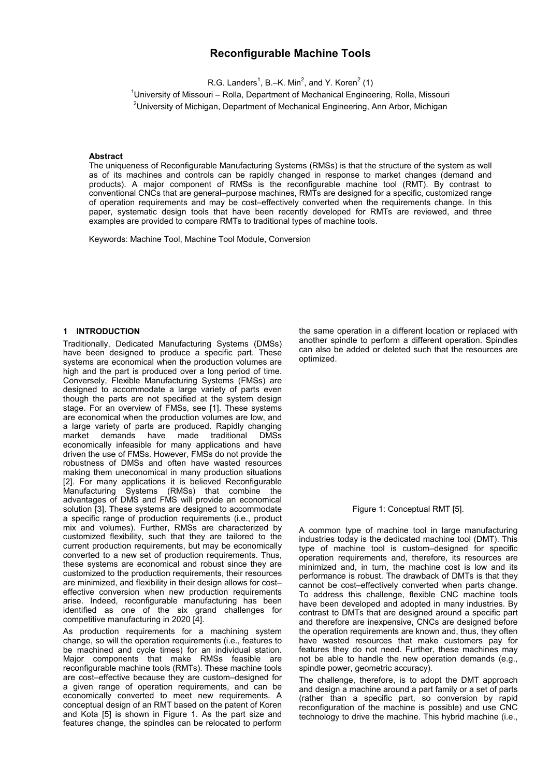# **Reconfigurable Machine Tools**

R.G. Landers<sup>1</sup>, B.–K. Min<sup>2</sup>, and Y. Koren<sup>2</sup>

R.G. Landers<sup>1</sup>, B.–K. Min<sup>2</sup>, and Y. Koren<sup>2</sup> (1)<br>University of Missouri – Rolla, Department of Mechanical Engineering, Rolla, Missouri<sup>1</sup> <sup>2</sup>University of Michigan, Department of Mechanical Engineering, Ann Arbor, Michigan

# **Abstract**

The uniqueness of Reconfigurable Manufacturing Systems (RMSs) is that the structure of the system as well as of its machines and controls can be rapidly changed in response to market changes (demand and products). A major component of RMSs is the reconfigurable machine tool (RMT). By contrast to conventional CNCs that are general–purpose machines, RMTs are designed for a specific, customized range of operation requirements and may be cost–effectively converted when the requirements change. In this paper, systematic design tools that have been recently developed for RMTs are reviewed, and three examples are provided to compare RMTs to traditional types of machine tools.

Keywords: Machine Tool, Machine Tool Module, Conversion

#### **1 INTRODUCTION**

Traditionally, Dedicated Manufacturing Systems (DMSs) have been designed to produce a specific part. These systems are economical when the production volumes are high and the part is produced over a long period of time. Conversely, Flexible Manufacturing Systems (FMSs) are designed to accommodate a large variety of parts even though the parts are not specified at the system design stage. For an overview of FMSs, see [1]. These systems are economical when the production volumes are low, and a large variety of parts are produced. Rapidly changing market demands have made traditional DMSs economically infeasible for many applications and have driven the use of FMSs. However, FMSs do not provide the robustness of DMSs and often have wasted resources making them uneconomical in many production situations [2]. For many applications it is believed Reconfigurable Manufacturing Systems (RMSs) that combine the advantages of DMS and FMS will provide an economical solution [3]. These systems are designed to accommodate a specific range of production requirements (i.e., product mix and volumes). Further, RMSs are characterized by customized flexibility, such that they are tailored to the current production requirements, but may be economically converted to a new set of production requirements. Thus, these systems are economical and robust since they are customized to the production requirements, their resources are minimized, and flexibility in their design allows for cost– effective conversion when new production requirements arise. Indeed, reconfigurable manufacturing has been identified as one of the six grand challenges for competitive manufacturing in 2020 [4].

As production requirements for a machining system change, so will the operation requirements (i.e., features to be machined and cycle times) for an individual station. Major components that make RMSs feasible are reconfigurable machine tools (RMTs). These machine tools are cost–effective because they are custom–designed for a given range of operation requirements, and can be economically converted to meet new requirements. A conceptual design of an RMT based on the patent of Koren and Kota [5] is shown in Figure 1. As the part size and features change, the spindles can be relocated to perform the same operation in a different location or replaced with another spindle to perform a different operation. Spindles can also be added or deleted such that the resources are optimized.

#### Figure 1: Conceptual RMT [5].

A common type of machine tool in large manufacturing industries today is the dedicated machine tool (DMT). This type of machine tool is custom–designed for specific operation requirements and, therefore, its resources are minimized and, in turn, the machine cost is low and its performance is robust. The drawback of DMTs is that they cannot be cost–effectively converted when parts change. To address this challenge, flexible CNC machine tools have been developed and adopted in many industries. By contrast to DMTs that are designed around a specific part and therefore are inexpensive, CNCs are designed before the operation requirements are known and, thus, they often have wasted resources that make customers pay for features they do not need. Further, these machines may not be able to handle the new operation demands (e.g., spindle power, geometric accuracy).

The challenge, therefore, is to adopt the DMT approach and design a machine around a part family or a set of parts (rather than a specific part, so conversion by rapid reconfiguration of the machine is possible) and use CNC technology to drive the machine. This hybrid machine (i.e.,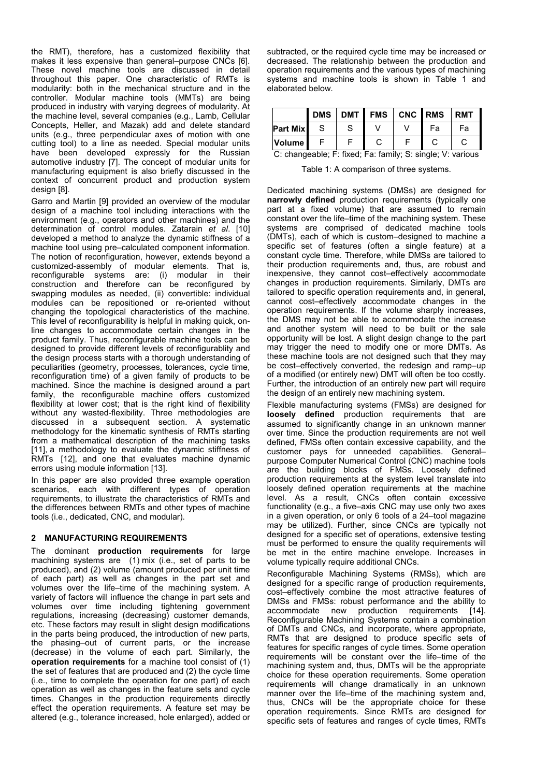the RMT), therefore, has a customized flexibility that makes it less expensive than general–purpose CNCs [6]. These novel machine tools are discussed in detail throughout this paper. One characteristic of RMTs is modularity: both in the mechanical structure and in the controller. Modular machine tools (MMTs) are being produced in industry with varying degrees of modularity. At the machine level, several companies (e.g., Lamb, Cellular Concepts, Heller, and Mazak) add and delete standard units (e.g., three perpendicular axes of motion with one cutting tool) to a line as needed. Special modular units have been developed expressly for the Russian automotive industry [7]. The concept of modular units for manufacturing equipment is also briefly discussed in the context of concurrent product and production system design [8].

Garro and Martin [9] provided an overview of the modular design of a machine tool including interactions with the environment (e.g., operators and other machines) and the determination of control modules. Zatarain *et al*. [10] developed a method to analyze the dynamic stiffness of a machine tool using pre–calculated component information. The notion of reconfiguration, however, extends beyond a customized-assembly of modular elements. That is, reconfigurable systems are: (i) modular in their construction and therefore can be reconfigured by swapping modules as needed, (ii) convertible: individual modules can be repositioned or re-oriented without changing the topological characteristics of the machine. This level of reconfigurability is helpful in making quick, online changes to accommodate certain changes in the product family. Thus, reconfigurable machine tools can be designed to provide different levels of reconfigurablity and the design process starts with a thorough understanding of peculiarities (geometry, processes, tolerances, cycle time, reconfiguration time) of a given family of products to be machined. Since the machine is designed around a part family, the reconfigurable machine offers customized flexibility at lower cost; that is the right kind of flexibility without any wasted-flexibility. Three methodologies are discussed in a subsequent section. A systematic methodology for the kinematic synthesis of RMTs starting from a mathematical description of the machining tasks [11], a methodology to evaluate the dynamic stiffness of RMTs [12], and one that evaluates machine dynamic errors using module information [13].

In this paper are also provided three example operation scenarios, each with different types of operation requirements, to illustrate the characteristics of RMTs and the differences between RMTs and other types of machine tools (i.e., dedicated, CNC, and modular).

# **2 MANUFACTURING REQUIREMENTS**

The dominant **production requirements** for large machining systems are (1) mix (i.e., set of parts to be produced), and (2) volume (amount produced per unit time of each part) as well as changes in the part set and volumes over the life–time of the machining system. A variety of factors will influence the change in part sets and volumes over time including tightening government regulations, increasing (decreasing) customer demands, etc. These factors may result in slight design modifications in the parts being produced, the introduction of new parts, the phasing–out of current parts, or the increase (decrease) in the volume of each part. Similarly, the **operation requirements** for a machine tool consist of (1) the set of features that are produced and (2) the cycle time (i.e., time to complete the operation for one part) of each operation as well as changes in the feature sets and cycle times. Changes in the production requirements directly effect the operation requirements. A feature set may be altered (e.g., tolerance increased, hole enlarged), added or

subtracted, or the required cycle time may be increased or decreased. The relationship between the production and operation requirements and the various types of machining systems and machine tools is shown in Table 1 and elaborated below.

|                 | <b>DMS</b> | <b>DMT</b> | <b>FMS</b> | CNC RMS |    | <b>RMT</b> |
|-----------------|------------|------------|------------|---------|----|------------|
| <b>Part Mix</b> | S.         | S          |            |         | Fa | Fa         |
| <b>Volume</b>   |            |            | C          |         | С  |            |

C: changeable; F: fixed; Fa: family; S: single; V: various

Table 1: A comparison of three systems.

Dedicated machining systems (DMSs) are designed for **narrowly defined** production requirements (typically one part at a fixed volume) that are assumed to remain constant over the life–time of the machining system. These systems are comprised of dedicated machine tools (DMTs), each of which is custom–designed to machine a specific set of features (often a single feature) at a constant cycle time. Therefore, while DMSs are tailored to their production requirements and, thus, are robust and inexpensive, they cannot cost–effectively accommodate changes in production requirements. Similarly, DMTs are tailored to specific operation requirements and, in general, cannot cost–effectively accommodate changes in the operation requirements. If the volume sharply increases, the DMS may not be able to accommodate the increase and another system will need to be built or the sale opportunity will be lost. A slight design change to the part may trigger the need to modify one or more DMTs. As these machine tools are not designed such that they may be cost–effectively converted, the redesign and ramp–up of a modified (or entirely new) DMT will often be too costly. Further, the introduction of an entirely new part will require the design of an entirely new machining system.

Flexible manufacturing systems (FMSs) are designed for **loosely defined** production requirements that are assumed to significantly change in an unknown manner over time. Since the production requirements are not well defined, FMSs often contain excessive capability, and the customer pays for unneeded capabilities. General– purpose Computer Numerical Control (CNC) machine tools are the building blocks of FMSs. Loosely defined production requirements at the system level translate into loosely defined operation requirements at the machine level. As a result, CNCs often contain excessive functionality (e.g., a five–axis CNC may use only two axes in a given operation, or only 6 tools of a 24–tool magazine may be utilized). Further, since CNCs are typically not designed for a specific set of operations, extensive testing must be performed to ensure the quality requirements will be met in the entire machine envelope. Increases in volume typically require additional CNCs.

Reconfigurable Machining Systems (RMSs), which are designed for a specific range of production requirements, cost–effectively combine the most attractive features of DMSs and FMSs: robust performance and the ability to accommodate new production requirements [14]. Reconfigurable Machining Systems contain a combination of DMTs and CNCs, and incorporate, where appropriate, RMTs that are designed to produce specific sets of features for specific ranges of cycle times. Some operation requirements will be constant over the life–time of the machining system and, thus, DMTs will be the appropriate choice for these operation requirements. Some operation requirements will change dramatically in an unknown manner over the life–time of the machining system and, thus, CNCs will be the appropriate choice for these operation requirements. Since RMTs are designed for specific sets of features and ranges of cycle times, RMTs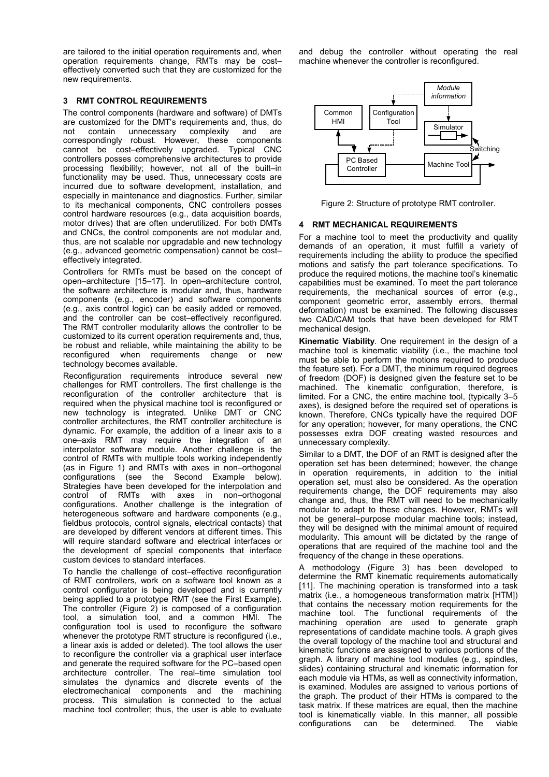are tailored to the initial operation requirements and, when operation requirements change, RMTs may be cost– effectively converted such that they are customized for the new requirements.

### **3 RMT CONTROL REQUIREMENTS**

The control components (hardware and software) of DMTs are customized for the DMT's requirements and, thus, do not contain unnecessary complexity and are correspondingly robust. However, these components cannot be cost–effectively upgraded. Typical CNC controllers posses comprehensive architectures to provide processing flexibility; however, not all of the built–in functionality may be used. Thus, unnecessary costs are incurred due to software development, installation, and especially in maintenance and diagnostics. Further, similar to its mechanical components, CNC controllers posses control hardware resources (e.g., data acquisition boards, motor drives) that are often underutilized. For both DMTs and CNCs, the control components are not modular and, thus, are not scalable nor upgradable and new technology (e.g., advanced geometric compensation) cannot be cost– effectively integrated.

Controllers for RMTs must be based on the concept of open–architecture [15–17]. In open–architecture control, the software architecture is modular and, thus, hardware components (e.g., encoder) and software components (e.g., axis control logic) can be easily added or removed, and the controller can be cost–effectively reconfigured. The RMT controller modularity allows the controller to be customized to its current operation requirements and, thus, be robust and reliable, while maintaining the ability to be reconfigured when requirements change or new technology becomes available.

Reconfiguration requirements introduce several new challenges for RMT controllers. The first challenge is the reconfiguration of the controller architecture that is required when the physical machine tool is reconfigured or new technology is integrated. Unlike DMT or CNC controller architectures, the RMT controller architecture is dynamic. For example, the addition of a linear axis to a one–axis RMT may require the integration of an interpolator software module. Another challenge is the control of RMTs with multiple tools working independently (as in Figure 1) and RMTs with axes in non–orthogonal configurations (see the Second Example below). Strategies have been developed for the interpolation and control of RMTs with axes in non–orthogonal configurations. Another challenge is the integration of heterogeneous software and hardware components (e.g., fieldbus protocols, control signals, electrical contacts) that are developed by different vendors at different times. This will require standard software and electrical interfaces or the development of special components that interface custom devices to standard interfaces.

To handle the challenge of cost–effective reconfiguration of RMT controllers, work on a software tool known as a control configurator is being developed and is currently being applied to a prototype RMT (see the First Example). The controller (Figure 2) is composed of a configuration tool, a simulation tool, and a common HMI. The configuration tool is used to reconfigure the software whenever the prototype RMT structure is reconfigured (i.e., a linear axis is added or deleted). The tool allows the user to reconfigure the controller via a graphical user interface and generate the required software for the PC–based open architecture controller. The real–time simulation tool simulates the dynamics and discrete events of the electromechanical components and the machining process. This simulation is connected to the actual machine tool controller; thus, the user is able to evaluate

and debug the controller without operating the real machine whenever the controller is reconfigured.



Figure 2: Structure of prototype RMT controller.

### **4 RMT MECHANICAL REQUIREMENTS**

For a machine tool to meet the productivity and quality demands of an operation, it must fulfill a variety of requirements including the ability to produce the specified motions and satisfy the part tolerance specifications. To produce the required motions, the machine tool's kinematic capabilities must be examined. To meet the part tolerance requirements, the mechanical sources of error (e.g., component geometric error, assembly errors, thermal deformation) must be examined. The following discusses two CAD/CAM tools that have been developed for RMT mechanical design.

**Kinematic Viability**. One requirement in the design of a machine tool is kinematic viability (i.e., the machine tool must be able to perform the motions required to produce the feature set). For a DMT, the minimum required degrees of freedom (DOF) is designed given the feature set to be machined. The kinematic configuration, therefore, is limited. For a CNC, the entire machine tool, (typically 3–5 axes), is designed before the required set of operations is known. Therefore, CNCs typically have the required DOF for any operation; however, for many operations, the CNC possesses extra DOF creating wasted resources and unnecessary complexity.

Similar to a DMT, the DOF of an RMT is designed after the operation set has been determined; however, the change in operation requirements, in addition to the initial operation set, must also be considered. As the operation requirements change, the DOF requirements may also change and, thus, the RMT will need to be mechanically modular to adapt to these changes. However, RMTs will not be general–purpose modular machine tools; instead, they will be designed with the minimal amount of required modularity. This amount will be dictated by the range of operations that are required of the machine tool and the frequency of the change in these operations.

A methodology (Figure 3) has been developed to determine the RMT kinematic requirements automatically [11]. The machining operation is transformed into a task matrix (i.e., a homogeneous transformation matrix [HTM]) that contains the necessary motion requirements for the machine tool. The functional requirements of the machining operation are used to generate graph representations of candidate machine tools. A graph gives the overall topology of the machine tool and structural and kinematic functions are assigned to various portions of the graph. A library of machine tool modules (e.g., spindles, slides) containing structural and kinematic information for each module via HTMs, as well as connectivity information, is examined. Modules are assigned to various portions of the graph. The product of their HTMs is compared to the task matrix. If these matrices are equal, then the machine tool is kinematically viable. In this manner, all possible configurations can be determined. The viable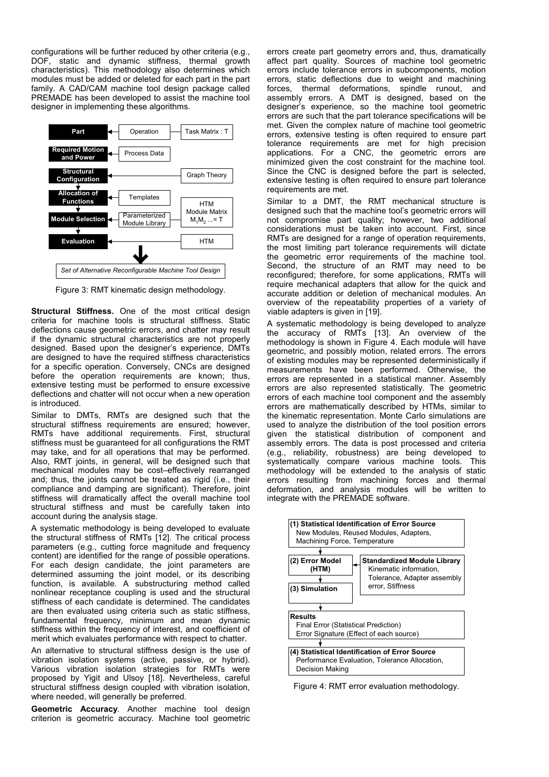configurations will be further reduced by other criteria (e.g., DOF, static and dynamic stiffness, thermal growth characteristics). This methodology also determines which modules must be added or deleted for each part in the part family. A CAD/CAM machine tool design package called PREMADE has been developed to assist the machine tool designer in implementing these algorithms.



Figure 3: RMT kinematic design methodology.

**Structural Stiffness.** One of the most critical design criteria for machine tools is structural stiffness. Static deflections cause geometric errors, and chatter may result if the dynamic structural characteristics are not properly designed. Based upon the designer's experience, DMTs are designed to have the required stiffness characteristics for a specific operation. Conversely, CNCs are designed before the operation requirements are known; thus, extensive testing must be performed to ensure excessive deflections and chatter will not occur when a new operation is introduced.

Similar to DMTs, RMTs are designed such that the structural stiffness requirements are ensured; however, RMTs have additional requirements. First, structural stiffness must be guaranteed for all configurations the RMT may take, and for all operations that may be performed. Also, RMT joints, in general, will be designed such that mechanical modules may be cost–effectively rearranged and; thus, the joints cannot be treated as rigid (i.e., their compliance and damping are significant). Therefore, joint stiffness will dramatically affect the overall machine tool structural stiffness and must be carefully taken into account during the analysis stage.

A systematic methodology is being developed to evaluate the structural stiffness of RMTs [12]. The critical process parameters (e.g., cutting force magnitude and frequency content) are identified for the range of possible operations. For each design candidate, the joint parameters are determined assuming the joint model, or its describing function, is available. A substructuring method called nonlinear receptance coupling is used and the structural stiffness of each candidate is determined. The candidates are then evaluated using criteria such as static stiffness, fundamental frequency, minimum and mean dynamic stiffness within the frequency of interest, and coefficient of merit which evaluates performance with respect to chatter.

An alternative to structural stiffness design is the use of vibration isolation systems (active, passive, or hybrid). Various vibration isolation strategies for RMTs were proposed by Yigit and Ulsoy [18]. Nevertheless, careful structural stiffness design coupled with vibration isolation, where needed, will generally be preferred.

**Geometric Accuracy**. Another machine tool design criterion is geometric accuracy. Machine tool geometric errors create part geometry errors and, thus, dramatically affect part quality. Sources of machine tool geometric errors include tolerance errors in subcomponents, motion errors, static deflections due to weight and machining forces, thermal deformations, spindle runout, and assembly errors. A DMT is designed, based on the designer's experience, so the machine tool geometric errors are such that the part tolerance specifications will be met. Given the complex nature of machine tool geometric errors, extensive testing is often required to ensure part tolerance requirements are met for high precision applications. For a CNC, the geometric errors are minimized given the cost constraint for the machine tool. Since the CNC is designed before the part is selected, extensive testing is often required to ensure part tolerance requirements are met.

Similar to a DMT, the RMT mechanical structure is designed such that the machine tool's geometric errors will not compromise part quality; however, two additional considerations must be taken into account. First, since RMTs are designed for a range of operation requirements, the most limiting part tolerance requirements will dictate the geometric error requirements of the machine tool. Second, the structure of an RMT may need to be reconfigured; therefore, for some applications, RMTs will require mechanical adapters that allow for the quick and accurate addition or deletion of mechanical modules. An overview of the repeatability properties of a variety of viable adapters is given in [19].

A systematic methodology is being developed to analyze the accuracy of RMTs [13]. An overview of the methodology is shown in Figure 4. Each module will have geometric, and possibly motion, related errors. The errors of existing modules may be represented deterministically if measurements have been performed. Otherwise, the errors are represented in a statistical manner. Assembly errors are also represented statistically. The geometric errors of each machine tool component and the assembly errors are mathematically described by HTMs, similar to the kinematic representation. Monte Carlo simulations are used to analyze the distribution of the tool position errors given the statistical distribution of component and assembly errors. The data is post processed and criteria (e.g., reliability, robustness) are being developed to systematically compare various machine tools. This methodology will be extended to the analysis of static errors resulting from machining forces and thermal deformation, and analysis modules will be written to integrate with the PREMADE software.



Figure 4: RMT error evaluation methodology.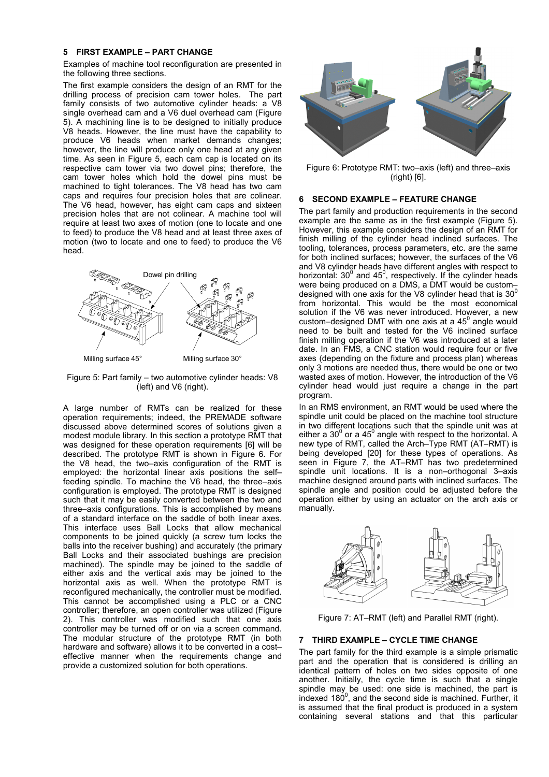#### **5 FIRST EXAMPLE – PART CHANGE**

Examples of machine tool reconfiguration are presented in the following three sections.

The first example considers the design of an RMT for the drilling process of precision cam tower holes. The part family consists of two automotive cylinder heads: a V8 single overhead cam and a V6 duel overhead cam (Figure 5). A machining line is to be designed to initially produce V8 heads. However, the line must have the capability to produce V6 heads when market demands changes; however, the line will produce only one head at any given time. As seen in Figure 5, each cam cap is located on its respective cam tower via two dowel pins; therefore, the cam tower holes which hold the dowel pins must be machined to tight tolerances. The V8 head has two cam caps and requires four precision holes that are colinear. The V6 head, however, has eight cam caps and sixteen precision holes that are not colinear. A machine tool will require at least two axes of motion (one to locate and one to feed) to produce the V8 head and at least three axes of motion (two to locate and one to feed) to produce the V6 head.



Figure 5: Part family – two automotive cylinder heads: V8 (left) and V6 (right).

A large number of RMTs can be realized for these operation requirements; indeed, the PREMADE software discussed above determined scores of solutions given a modest module library. In this section a prototype RMT that was designed for these operation requirements [6] will be described. The prototype RMT is shown in Figure 6. For the V8 head, the two–axis configuration of the RMT is employed: the horizontal linear axis positions the self– feeding spindle. To machine the V6 head, the three–axis configuration is employed. The prototype RMT is designed such that it may be easily converted between the two and three–axis configurations. This is accomplished by means of a standard interface on the saddle of both linear axes. This interface uses Ball Locks that allow mechanical components to be joined quickly (a screw turn locks the balls into the receiver bushing) and accurately (the primary Ball Locks and their associated bushings are precision machined). The spindle may be joined to the saddle of either axis and the vertical axis may be joined to the horizontal axis as well. When the prototype RMT is reconfigured mechanically, the controller must be modified. This cannot be accomplished using a PLC or a CNC controller; therefore, an open controller was utilized (Figure 2). This controller was modified such that one axis controller may be turned off or on via a screen command. The modular structure of the prototype RMT (in both hardware and software) allows it to be converted in a cost– effective manner when the requirements change and provide a customized solution for both operations.



Figure 6: Prototype RMT: two–axis (left) and three–axis (right) [6].

### **6 SECOND EXAMPLE – FEATURE CHANGE**

The part family and production requirements in the second example are the same as in the first example (Figure 5). However, this example considers the design of an RMT for finish milling of the cylinder head inclined surfaces. The tooling, tolerances, process parameters, etc. are the same for both inclined surfaces; however, the surfaces of the V6 and V8 cylinder heads have different angles with respect to horizontal: 30 $^0$  and 45 $^0$ , respectively. If the cylinder heads were being produced on a DMS, a DMT would be custom–<br>designed with one axis for the V8 cylinder head that is 30<sup>0</sup> from horizontal. This would be the most economical solution if the V6 was never introduced. However, a new custom–designed DMT with one axis at a 45 $^{\circ}$  angle would need to be built and tested for the V6 inclined surface finish milling operation if the V6 was introduced at a later date. In an FMS, a CNC station would require four or five axes (depending on the fixture and process plan) whereas only 3 motions are needed thus, there would be one or two wasted axes of motion. However, the introduction of the V6 cylinder head would just require a change in the part program.

In an RMS environment, an RMT would be used where the spindle unit could be placed on the machine tool structure in two different locations such that the spindle unit was at<br>either a 30<sup>0</sup> or a 45<sup>0</sup> angle with respect to the horizontal. A new type of RMT, called the Arch–Type RMT (AT–RMT) is being developed [20] for these types of operations. As seen in Figure 7, the AT–RMT has two predetermined spindle unit locations. It is a non–orthogonal 3–axis machine designed around parts with inclined surfaces. The spindle angle and position could be adjusted before the operation either by using an actuator on the arch axis or manually.



Figure 7: AT–RMT (left) and Parallel RMT (right).

# **7 THIRD EXAMPLE – CYCLE TIME CHANGE**

The part family for the third example is a simple prismatic part and the operation that is considered is drilling an identical pattern of holes on two sides opposite of one another. Initially, the cycle time is such that a single spindle may be used: one side is machined, the part is indexed 180<sup>0</sup>, and the second side is machined. Further, it is assumed that the final product is produced in a system containing several stations and that this particular